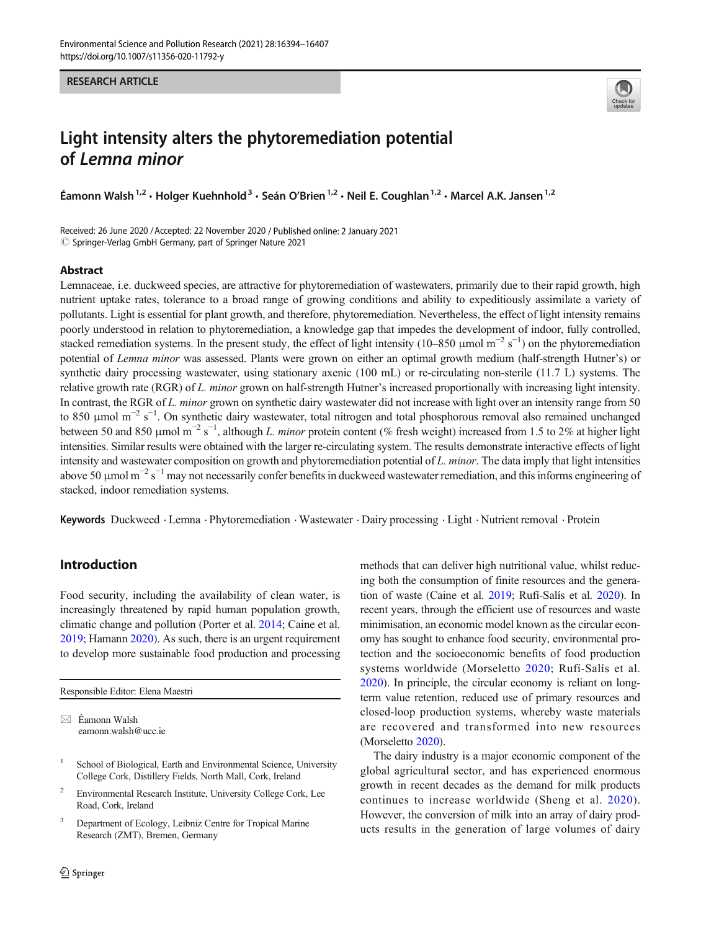#### RESEARCH ARTICLE



# Light intensity alters the phytoremediation potential of Lemna minor

Éamonn Walsh<sup>1,2</sup> • Holger Kuehnhold<sup>3</sup> • Seán O'Brien<sup>1,2</sup> • Neil E. Coughlan<sup>1,2</sup> • Marcel A.K. Jansen<sup>1,2</sup>

Received: 26 June 2020 /Accepted: 22 November 2020 / Published online: 2 January 2021  $\circled{c}$  Springer-Verlag GmbH Germany, part of Springer Nature 2021

#### Abstract

Lemnaceae, i.e. duckweed species, are attractive for phytoremediation of wastewaters, primarily due to their rapid growth, high nutrient uptake rates, tolerance to a broad range of growing conditions and ability to expeditiously assimilate a variety of pollutants. Light is essential for plant growth, and therefore, phytoremediation. Nevertheless, the effect of light intensity remains poorly understood in relation to phytoremediation, a knowledge gap that impedes the development of indoor, fully controlled, stacked remediation systems. In the present study, the effect of light intensity (10–850 µmol  $m^{-2} s^{-1}$ ) on the phytoremediation potential of Lemna minor was assessed. Plants were grown on either an optimal growth medium (half-strength Hutner's) or synthetic dairy processing wastewater, using stationary axenic (100 mL) or re-circulating non-sterile (11.7 L) systems. The relative growth rate (RGR) of L. minor grown on half-strength Hutner's increased proportionally with increasing light intensity. In contrast, the RGR of L. minor grown on synthetic dairy wastewater did not increase with light over an intensity range from 50 to 850 μmol m<sup>-2</sup> s<sup>-1</sup>. On synthetic dairy wastewater, total nitrogen and total phosphorous removal also remained unchanged between 50 and 850 µmol m<sup>-2</sup> s<sup>-1</sup>, although *L. minor* protein content (% fresh weight) increased from 1.5 to 2% at higher light intensities. Similar results were obtained with the larger re-circulating system. The results demonstrate interactive effects of light intensity and wastewater composition on growth and phytoremediation potential of L. minor. The data imply that light intensities above 50  $\mu$ mol m<sup>-2</sup> s<sup>-1</sup> may not necessarily confer benefits in duckweed wastewater remediation, and this informs engineering of stacked, indoor remediation systems.

Keywords Duckweed . Lemna . Phytoremediation . Wastewater . Dairy processing . Light . Nutrient removal . Protein

## Introduction

Food security, including the availability of clean water, is increasingly threatened by rapid human population growth, climatic change and pollution (Porter et al. [2014;](#page-13-0) Caine et al. [2019;](#page-11-0) Hamann [2020](#page-12-0)). As such, there is an urgent requirement to develop more sustainable food production and processing

Responsible Editor: Elena Maestri

 $\boxtimes$  Éamonn Walsh [eamonn.walsh@ucc.ie](mailto:eamonn.walsh@ucc.ie)

- School of Biological, Earth and Environmental Science, University College Cork, Distillery Fields, North Mall, Cork, Ireland
- <sup>2</sup> Environmental Research Institute, University College Cork, Lee Road, Cork, Ireland
- <sup>3</sup> Department of Ecology, Leibniz Centre for Tropical Marine Research (ZMT), Bremen, Germany

methods that can deliver high nutritional value, whilst reducing both the consumption of finite resources and the generation of waste (Caine et al. [2019;](#page-11-0) Rufí-Salís et al. [2020\)](#page-13-0). In recent years, through the efficient use of resources and waste minimisation, an economic model known as the circular economy has sought to enhance food security, environmental protection and the socioeconomic benefits of food production systems worldwide (Morseletto [2020;](#page-13-0) Rufí-Salís et al. [2020\)](#page-13-0). In principle, the circular economy is reliant on longterm value retention, reduced use of primary resources and closed-loop production systems, whereby waste materials are recovered and transformed into new resources (Morseletto [2020](#page-13-0)).

The dairy industry is a major economic component of the global agricultural sector, and has experienced enormous growth in recent decades as the demand for milk products continues to increase worldwide (Sheng et al. [2020](#page-13-0)). However, the conversion of milk into an array of dairy products results in the generation of large volumes of dairy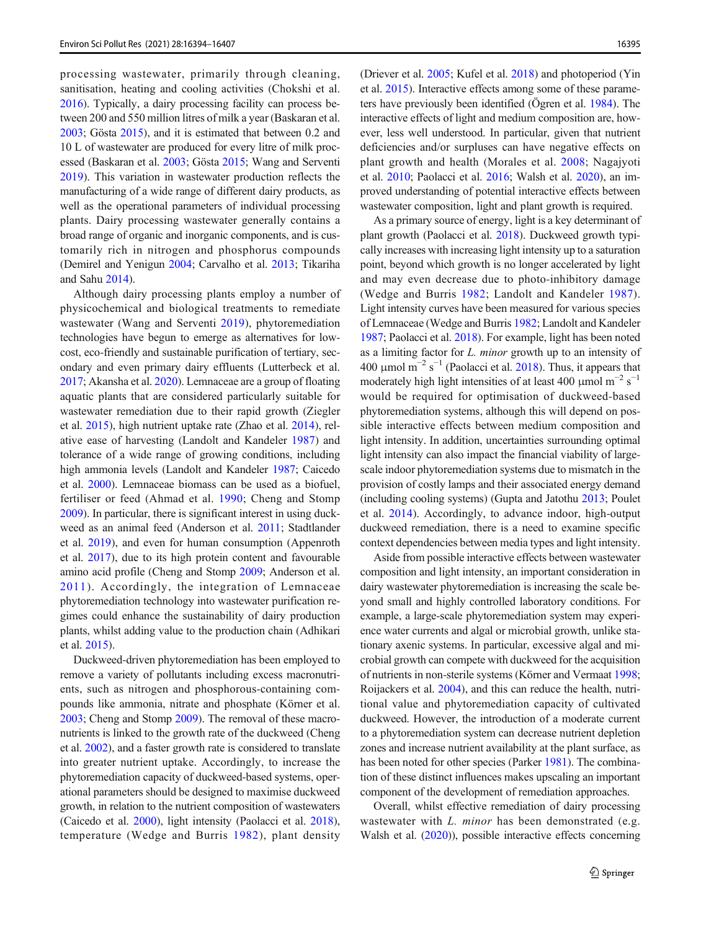processing wastewater, primarily through cleaning, sanitisation, heating and cooling activities (Chokshi et al. [2016\)](#page-12-0). Typically, a dairy processing facility can process between 200 and 550 million litres of milk a year (Baskaran et al. [2003;](#page-11-0) Gösta [2015\)](#page-12-0), and it is estimated that between 0.2 and 10 L of wastewater are produced for every litre of milk processed (Baskaran et al. [2003](#page-11-0); Gösta [2015;](#page-12-0) Wang and Serventi [2019\)](#page-13-0). This variation in wastewater production reflects the manufacturing of a wide range of different dairy products, as well as the operational parameters of individual processing plants. Dairy processing wastewater generally contains a broad range of organic and inorganic components, and is customarily rich in nitrogen and phosphorus compounds (Demirel and Yenigun [2004](#page-12-0); Carvalho et al. [2013](#page-11-0); Tikariha and Sahu [2014](#page-13-0)).

Although dairy processing plants employ a number of physicochemical and biological treatments to remediate wastewater (Wang and Serventi [2019](#page-13-0)), phytoremediation technologies have begun to emerge as alternatives for lowcost, eco-friendly and sustainable purification of tertiary, secondary and even primary dairy effluents (Lutterbeck et al. [2017;](#page-12-0) Akansha et al. [2020\)](#page-11-0). Lemnaceae are a group of floating aquatic plants that are considered particularly suitable for wastewater remediation due to their rapid growth (Ziegler et al. [2015\)](#page-13-0), high nutrient uptake rate (Zhao et al. [2014](#page-13-0)), relative ease of harvesting (Landolt and Kandeler [1987\)](#page-12-0) and tolerance of a wide range of growing conditions, including high ammonia levels (Landolt and Kandeler [1987](#page-12-0); Caicedo et al. [2000](#page-11-0)). Lemnaceae biomass can be used as a biofuel, fertiliser or feed (Ahmad et al. [1990](#page-11-0); Cheng and Stomp [2009\)](#page-12-0). In particular, there is significant interest in using duckweed as an animal feed (Anderson et al. [2011;](#page-11-0) Stadtlander et al. [2019\)](#page-13-0), and even for human consumption (Appenroth et al. [2017](#page-11-0)), due to its high protein content and favourable amino acid profile (Cheng and Stomp [2009](#page-12-0); Anderson et al. [2011\)](#page-11-0). Accordingly, the integration of Lemnaceae phytoremediation technology into wastewater purification regimes could enhance the sustainability of dairy production plants, whilst adding value to the production chain (Adhikari et al. [2015](#page-11-0)).

Duckweed-driven phytoremediation has been employed to remove a variety of pollutants including excess macronutrients, such as nitrogen and phosphorous-containing compounds like ammonia, nitrate and phosphate (Körner et al. [2003;](#page-12-0) Cheng and Stomp [2009](#page-12-0)). The removal of these macronutrients is linked to the growth rate of the duckweed (Cheng et al. [2002\)](#page-11-0), and a faster growth rate is considered to translate into greater nutrient uptake. Accordingly, to increase the phytoremediation capacity of duckweed-based systems, operational parameters should be designed to maximise duckweed growth, in relation to the nutrient composition of wastewaters (Caicedo et al. [2000](#page-11-0)), light intensity (Paolacci et al. [2018](#page-13-0)), temperature (Wedge and Burris [1982](#page-13-0)), plant density (Driever et al. [2005;](#page-12-0) Kufel et al. [2018](#page-12-0)) and photoperiod (Yin et al. [2015](#page-13-0)). Interactive effects among some of these parameters have previously been identified (Ögren et al. [1984\)](#page-13-0). The interactive effects of light and medium composition are, however, less well understood. In particular, given that nutrient deficiencies and/or surpluses can have negative effects on plant growth and health (Morales et al. [2008](#page-13-0); Nagajyoti et al. [2010;](#page-13-0) Paolacci et al. [2016;](#page-13-0) Walsh et al. [2020](#page-13-0)), an improved understanding of potential interactive effects between wastewater composition, light and plant growth is required.

As a primary source of energy, light is a key determinant of plant growth (Paolacci et al. [2018](#page-13-0)). Duckweed growth typically increases with increasing light intensity up to a saturation point, beyond which growth is no longer accelerated by light and may even decrease due to photo-inhibitory damage (Wedge and Burris [1982;](#page-13-0) Landolt and Kandeler [1987](#page-12-0)). Light intensity curves have been measured for various species of Lemnaceae (Wedge and Burris [1982](#page-13-0); Landolt and Kandeler [1987;](#page-12-0) Paolacci et al. [2018\)](#page-13-0). For example, light has been noted as a limiting factor for L. minor growth up to an intensity of 400  $\mu$ mol m<sup>-2</sup> s<sup>-1</sup> (Paolacci et al. [2018\)](#page-13-0). Thus, it appears that moderately high light intensities of at least 400  $\mu$ mol m<sup>-2</sup> s<sup>-1</sup> would be required for optimisation of duckweed-based phytoremediation systems, although this will depend on possible interactive effects between medium composition and light intensity. In addition, uncertainties surrounding optimal light intensity can also impact the financial viability of largescale indoor phytoremediation systems due to mismatch in the provision of costly lamps and their associated energy demand (including cooling systems) (Gupta and Jatothu [2013](#page-12-0); Poulet et al. [2014\)](#page-13-0). Accordingly, to advance indoor, high-output duckweed remediation, there is a need to examine specific context dependencies between media types and light intensity.

Aside from possible interactive effects between wastewater composition and light intensity, an important consideration in dairy wastewater phytoremediation is increasing the scale beyond small and highly controlled laboratory conditions. For example, a large-scale phytoremediation system may experience water currents and algal or microbial growth, unlike stationary axenic systems. In particular, excessive algal and microbial growth can compete with duckweed for the acquisition of nutrients in non-sterile systems (Körner and Vermaat [1998;](#page-12-0) Roijackers et al. [2004\)](#page-13-0), and this can reduce the health, nutritional value and phytoremediation capacity of cultivated duckweed. However, the introduction of a moderate current to a phytoremediation system can decrease nutrient depletion zones and increase nutrient availability at the plant surface, as has been noted for other species (Parker [1981](#page-13-0)). The combination of these distinct influences makes upscaling an important component of the development of remediation approaches.

Overall, whilst effective remediation of dairy processing wastewater with *L. minor* has been demonstrated (e.g. Walsh et al. [\(2020\)](#page-13-0)), possible interactive effects concerning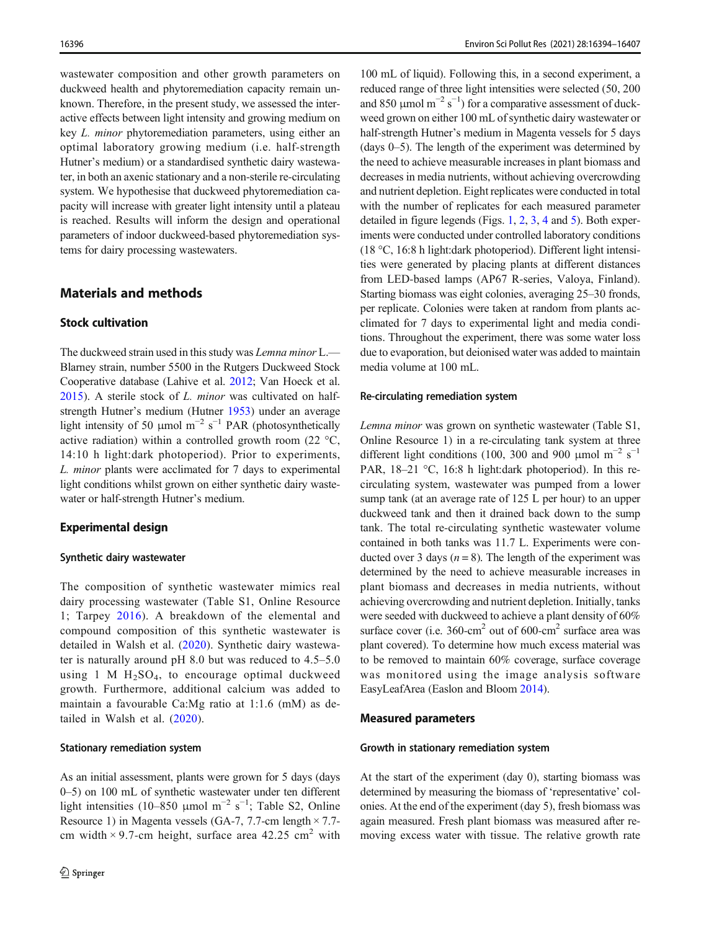wastewater composition and other growth parameters on duckweed health and phytoremediation capacity remain unknown. Therefore, in the present study, we assessed the interactive effects between light intensity and growing medium on key L. minor phytoremediation parameters, using either an optimal laboratory growing medium (i.e. half-strength Hutner's medium) or a standardised synthetic dairy wastewater, in both an axenic stationary and a non-sterile re-circulating system. We hypothesise that duckweed phytoremediation capacity will increase with greater light intensity until a plateau is reached. Results will inform the design and operational parameters of indoor duckweed-based phytoremediation systems for dairy processing wastewaters.

## Materials and methods

## Stock cultivation

The duckweed strain used in this study was Lemna minor L.— Blarney strain, number 5500 in the Rutgers Duckweed Stock Cooperative database (Lahive et al. [2012;](#page-12-0) Van Hoeck et al. [2015\)](#page-13-0). A sterile stock of L. minor was cultivated on halfstrength Hutner's medium (Hutner [1953](#page-12-0)) under an average light intensity of 50 µmol m<sup>-2</sup> s<sup>-1</sup> PAR (photosynthetically active radiation) within a controlled growth room (22 °C, 14:10 h light:dark photoperiod). Prior to experiments, L. minor plants were acclimated for 7 days to experimental light conditions whilst grown on either synthetic dairy wastewater or half-strength Hutner's medium.

## Experimental design

#### Synthetic dairy wastewater

The composition of synthetic wastewater mimics real dairy processing wastewater (Table S1, Online Resource 1; Tarpey [2016](#page-13-0)). A breakdown of the elemental and compound composition of this synthetic wastewater is detailed in Walsh et al. ([2020\)](#page-13-0). Synthetic dairy wastewater is naturally around pH 8.0 but was reduced to 4.5–5.0 using 1 M  $H_2SO_4$ , to encourage optimal duckweed growth. Furthermore, additional calcium was added to maintain a favourable Ca:Mg ratio at 1:1.6 (mM) as detailed in Walsh et al. ([2020\)](#page-13-0).

#### Stationary remediation system

As an initial assessment, plants were grown for 5 days (days 0–5) on 100 mL of synthetic wastewater under ten different light intensities (10–850 µmol m<sup>-2</sup> s<sup>-1</sup>; Table S2, Online Resource 1) in Magenta vessels (GA-7, 7.7-cm length  $\times$  7.7cm width  $\times$  9.7-cm height, surface area 42.25 cm<sup>2</sup> with

100 mL of liquid). Following this, in a second experiment, a reduced range of three light intensities were selected (50, 200 and 850 µmol m<sup>-2</sup> s<sup>-1</sup>) for a comparative assessment of duckweed grown on either 100 mL of synthetic dairy wastewater or half-strength Hutner's medium in Magenta vessels for 5 days (days 0–5). The length of the experiment was determined by the need to achieve measurable increases in plant biomass and decreases in media nutrients, without achieving overcrowding and nutrient depletion. Eight replicates were conducted in total with the number of replicates for each measured parameter detailed in figure legends (Figs. [1](#page-3-0), [2](#page-5-0), [3](#page-6-0), [4](#page-7-0) and [5\)](#page-8-0). Both experiments were conducted under controlled laboratory conditions (18 °C, 16:8 h light:dark photoperiod). Different light intensities were generated by placing plants at different distances from LED-based lamps (AP67 R-series, Valoya, Finland). Starting biomass was eight colonies, averaging 25–30 fronds, per replicate. Colonies were taken at random from plants acclimated for 7 days to experimental light and media conditions. Throughout the experiment, there was some water loss due to evaporation, but deionised water was added to maintain media volume at 100 mL.

#### Re-circulating remediation system

Lemna minor was grown on synthetic wastewater (Table S1, Online Resource 1) in a re-circulating tank system at three different light conditions (100, 300 and 900 µmol m<sup>-2</sup> s<sup>-1</sup> PAR, 18–21 °C, 16:8 h light:dark photoperiod). In this recirculating system, wastewater was pumped from a lower sump tank (at an average rate of 125 L per hour) to an upper duckweed tank and then it drained back down to the sump tank. The total re-circulating synthetic wastewater volume contained in both tanks was 11.7 L. Experiments were conducted over 3 days ( $n = 8$ ). The length of the experiment was determined by the need to achieve measurable increases in plant biomass and decreases in media nutrients, without achieving overcrowding and nutrient depletion. Initially, tanks were seeded with duckweed to achieve a plant density of 60% surface cover (i.e.  $360$ -cm<sup>2</sup> out of  $600$ -cm<sup>2</sup> surface area was plant covered). To determine how much excess material was to be removed to maintain 60% coverage, surface coverage was monitored using the image analysis software EasyLeafArea (Easlon and Bloom [2014\)](#page-12-0).

#### Measured parameters

#### Growth in stationary remediation system

At the start of the experiment (day 0), starting biomass was determined by measuring the biomass of 'representative' colonies. At the end of the experiment (day 5), fresh biomass was again measured. Fresh plant biomass was measured after removing excess water with tissue. The relative growth rate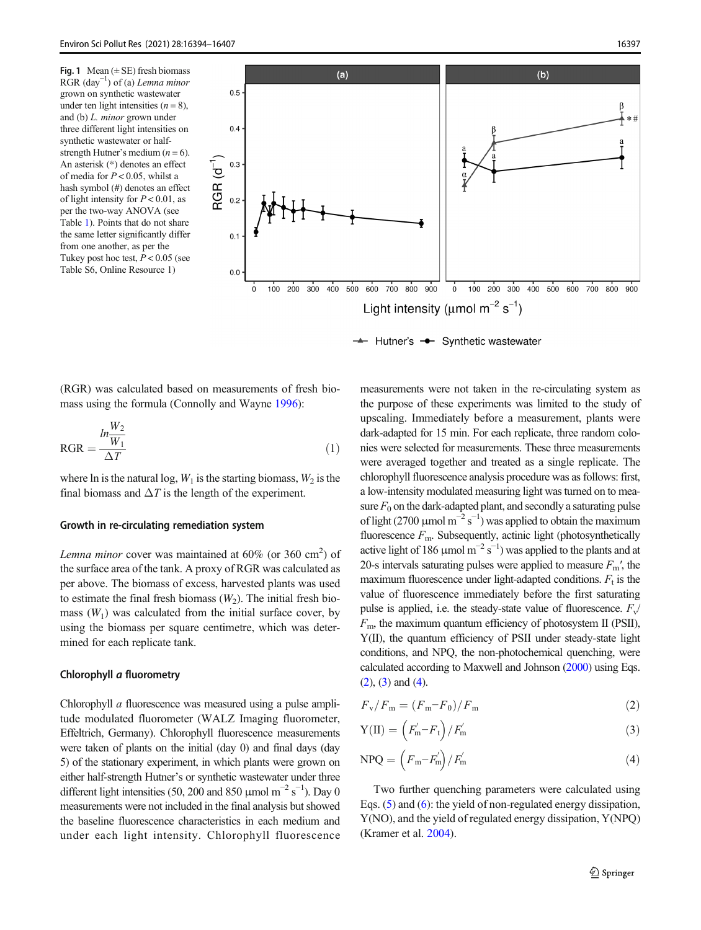<span id="page-3-0"></span>



+ Hutner's - Synthetic wastewater

(RGR) was calculated based on measurements of fresh biomass using the formula (Connolly and Wayne [1996](#page-12-0)):

$$
RGR = \frac{ln\frac{W_2}{W_1}}{\Delta T}
$$
 (1)

where ln is the natural log,  $W_1$  is the starting biomass,  $W_2$  is the final biomass and  $\Delta T$  is the length of the experiment.

#### Growth in re-circulating remediation system

Lemna minor cover was maintained at  $60\%$  (or  $360 \text{ cm}^2$ ) of the surface area of the tank. A proxy of RGR was calculated as per above. The biomass of excess, harvested plants was used to estimate the final fresh biomass  $(W_2)$ . The initial fresh biomass  $(W_1)$  was calculated from the initial surface cover, by using the biomass per square centimetre, which was determined for each replicate tank.

#### Chlorophyll a fluorometry

Chlorophyll a fluorescence was measured using a pulse amplitude modulated fluorometer (WALZ Imaging fluorometer, Effeltrich, Germany). Chlorophyll fluorescence measurements were taken of plants on the initial (day 0) and final days (day 5) of the stationary experiment, in which plants were grown on either half-strength Hutner's or synthetic wastewater under three different light intensities (50, 200 and 850 µmol m<sup>-2</sup> s<sup>-1</sup>). Day 0 measurements were not included in the final analysis but showed the baseline fluorescence characteristics in each medium and under each light intensity. Chlorophyll fluorescence measurements were not taken in the re-circulating system as the purpose of these experiments was limited to the study of upscaling. Immediately before a measurement, plants were dark-adapted for 15 min. For each replicate, three random colonies were selected for measurements. These three measurements were averaged together and treated as a single replicate. The chlorophyll fluorescence analysis procedure was as follows: first, a low-intensity modulated measuring light was turned on to measure  $F_0$  on the dark-adapted plant, and secondly a saturating pulse of light (2700 µmol  $m^{-2} s^{-1}$ ) was applied to obtain the maximum fluorescence  $F<sub>m</sub>$ . Subsequently, actinic light (photosynthetically active light of 186  $\mu$ mol m<sup>-2</sup> s<sup>-1</sup>) was applied to the plants and at 20-s intervals saturating pulses were applied to measure  $F_m'$ , the maximum fluorescence under light-adapted conditions.  $F_t$  is the value of fluorescence immediately before the first saturating pulse is applied, i.e. the steady-state value of fluorescence.  $F_v/$  $F<sub>m</sub>$ , the maximum quantum efficiency of photosystem II (PSII), Y(II), the quantum efficiency of PSII under steady-state light conditions, and NPQ, the non-photochemical quenching, were calculated according to Maxwell and Johnson [\(2000\)](#page-12-0) using Eqs.  $(2)$ ,  $(3)$  and  $(4)$ .

$$
F_{\rm v}/F_{\rm m} = (F_{\rm m} - F_0)/F_{\rm m} \tag{2}
$$

$$
Y(\Pi) = \left(F'_{m} - F_{t}\right) / F'_{m} \tag{3}
$$

$$
NPQ = \left(F_m - F'_m\right) / F'_m \tag{4}
$$

Two further quenching parameters were calculated using Eqs. (5) and ([6\)](#page-4-0): the yield of non-regulated energy dissipation, Y(NO), and the yield of regulated energy dissipation, Y(NPQ) (Kramer et al. [2004\)](#page-12-0).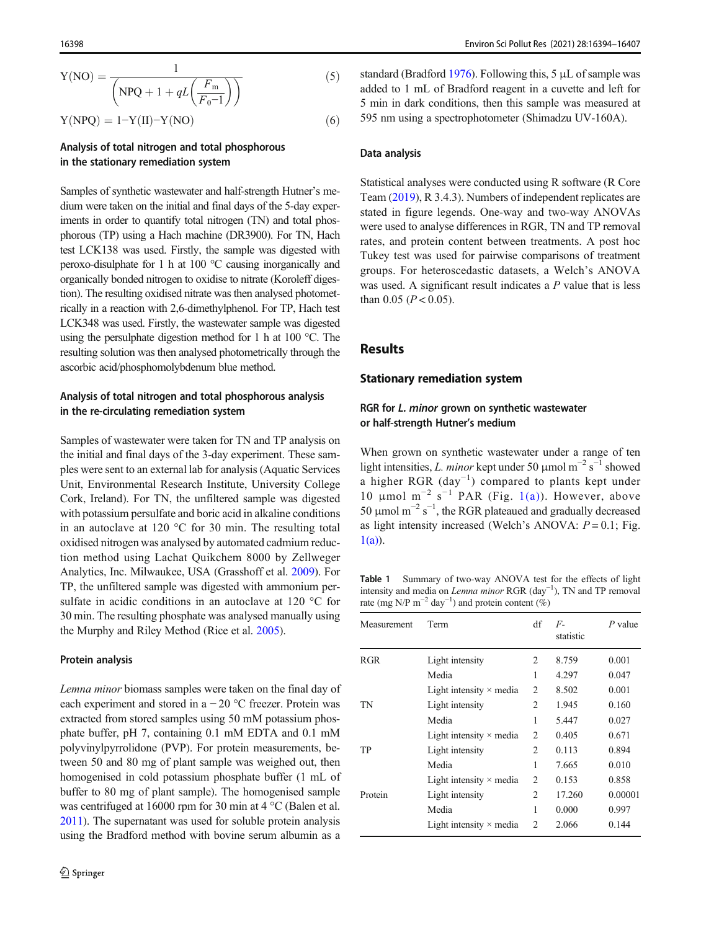<span id="page-4-0"></span>
$$
Y(NO) = \frac{1}{\left( NPQ + 1 + qL\left(\frac{F_m}{F_0 - 1}\right)\right)}
$$
(5)  
 
$$
Y(NPQ) = 1 - Y(II) - Y(NO)
$$
(6)

## Analysis of total nitrogen and total phosphorous in the stationary remediation system

Samples of synthetic wastewater and half-strength Hutner's medium were taken on the initial and final days of the 5-day experiments in order to quantify total nitrogen (TN) and total phosphorous (TP) using a Hach machine (DR3900). For TN, Hach test LCK138 was used. Firstly, the sample was digested with peroxo-disulphate for 1 h at 100 °C causing inorganically and organically bonded nitrogen to oxidise to nitrate (Koroleff digestion). The resulting oxidised nitrate was then analysed photometrically in a reaction with 2,6-dimethylphenol. For TP, Hach test LCK348 was used. Firstly, the wastewater sample was digested using the persulphate digestion method for 1 h at 100 °C. The resulting solution was then analysed photometrically through the ascorbic acid/phosphomolybdenum blue method.

## Analysis of total nitrogen and total phosphorous analysis in the re-circulating remediation system

Samples of wastewater were taken for TN and TP analysis on the initial and final days of the 3-day experiment. These samples were sent to an external lab for analysis (Aquatic Services Unit, Environmental Research Institute, University College Cork, Ireland). For TN, the unfiltered sample was digested with potassium persulfate and boric acid in alkaline conditions in an autoclave at 120 °C for 30 min. The resulting total oxidised nitrogen was analysed by automated cadmium reduction method using Lachat Quikchem 8000 by Zellweger Analytics, Inc. Milwaukee, USA (Grasshoff et al. [2009](#page-12-0)). For TP, the unfiltered sample was digested with ammonium persulfate in acidic conditions in an autoclave at 120 °C for 30 min. The resulting phosphate was analysed manually using the Murphy and Riley Method (Rice et al. [2005](#page-13-0)).

#### Protein analysis

Lemna minor biomass samples were taken on the final day of each experiment and stored in a − 20 °C freezer. Protein was extracted from stored samples using 50 mM potassium phosphate buffer, pH 7, containing 0.1 mM EDTA and 0.1 mM polyvinylpyrrolidone (PVP). For protein measurements, between 50 and 80 mg of plant sample was weighed out, then homogenised in cold potassium phosphate buffer (1 mL of buffer to 80 mg of plant sample). The homogenised sample was centrifuged at 16000 rpm for 30 min at 4 °C (Balen et al. [2011\)](#page-11-0). The supernatant was used for soluble protein analysis using the Bradford method with bovine serum albumin as a

standard (Bradford [1976\)](#page-11-0). Following this, 5 μL of sample was added to 1 mL of Bradford reagent in a cuvette and left for 5 min in dark conditions, then this sample was measured at 595 nm using a spectrophotometer (Shimadzu UV-160A).

#### Data analysis

Statistical analyses were conducted using R software (R Core Team [\(2019](#page-13-0)), R 3.4.3). Numbers of independent replicates are stated in figure legends. One-way and two-way ANOVAs were used to analyse differences in RGR, TN and TP removal rates, and protein content between treatments. A post hoc Tukey test was used for pairwise comparisons of treatment groups. For heteroscedastic datasets, a Welch's ANOVA was used. A significant result indicates a P value that is less than 0.05 ( $P < 0.05$ ).

## **Results**

#### Stationary remediation system

## RGR for L. minor grown on synthetic wastewater or half-strength Hutner's medium

When grown on synthetic wastewater under a range of ten light intensities, L. minor kept under 50 µmol m<sup>-2</sup> s<sup>-1</sup> showed a higher RGR  $\text{(day}^{-1})$  compared to plants kept under 10 µmol m<sup>-2</sup> s<sup>-1</sup> PAR (Fig. [1\(a\)](#page-3-0)). However, above 50 μmol m<sup>-2</sup> s<sup>-1</sup>, the RGR plateaued and gradually decreased as light intensity increased (Welch's ANOVA:  $P = 0.1$ ; Fig.  $1(a)$ ).

Table 1 Summary of two-way ANOVA test for the effects of light intensity and media on Lemna minor RGR (day−<sup>1</sup> ), TN and TP removal rate (mg N/P m<sup>-2</sup> day<sup>-1</sup>) and protein content (%)

| Measurement | Term                           | df             | $F -$<br>statistic | $P$ value |
|-------------|--------------------------------|----------------|--------------------|-----------|
| <b>RGR</b>  | Light intensity                | $\mathfrak{D}$ | 8.759              | 0.001     |
|             | Media                          | 1              | 4.297              | 0.047     |
|             | Light intensity $\times$ media | 2              | 8.502              | 0.001     |
| TN          | Light intensity                | $\mathfrak{D}$ | 1.945              | 0.160     |
|             | Media                          | 1              | 5.447              | 0.027     |
|             | Light intensity $\times$ media | $\mathfrak{D}$ | 0.405              | 0.671     |
| TР          | Light intensity                | 2              | 0.113              | 0.894     |
|             | Media                          | 1              | 7.665              | 0.010     |
|             | Light intensity $\times$ media | 2              | 0.153              | 0.858     |
| Protein     | Light intensity                | 2              | 17.260             | 0.00001   |
|             | Media                          | 1              | 0.000              | 0.997     |
|             | Light intensity $\times$ media | $\mathfrak{D}$ | 2.066              | 0.144     |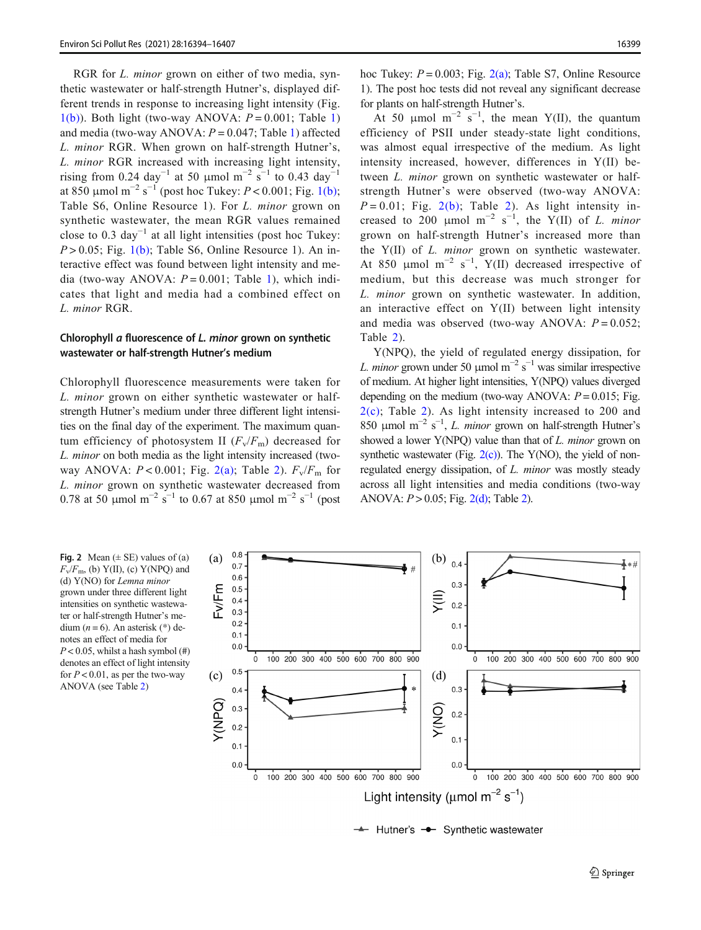<span id="page-5-0"></span>RGR for *L. minor* grown on either of two media, synthetic wastewater or half-strength Hutner's, displayed different trends in response to increasing light intensity (Fig.  $1(b)$ ). Both light (two-way ANOVA:  $P = 0.001$ : Table [1\)](#page-4-0) and media (two-way ANOVA:  $P = 0.047$ ; Table [1](#page-4-0)) affected L. minor RGR. When grown on half-strength Hutner's, L. minor RGR increased with increasing light intensity, rising from 0.24 day<sup>-1</sup> at 50 µmol m<sup>-2</sup> s<sup>-1</sup> to 0.43 day<sup>-1</sup> at 850  $\mu$ mol m<sup>-2</sup> s<sup>-1</sup> (post hoc Tukey: *P* < 0.001; Fig. [1\(b\)](#page-3-0); Table S6, Online Resource 1). For L. minor grown on synthetic wastewater, the mean RGR values remained close to 0.3 day<sup> $-1$ </sup> at all light intensities (post hoc Tukey:  $P > 0.05$ ; Fig. [1\(b\)](#page-3-0); Table S6, Online Resource 1). An interactive effect was found between light intensity and media (two-way ANOVA:  $P = 0.001$  $P = 0.001$ ; Table 1), which indicates that light and media had a combined effect on L. minor RGR.

## Chlorophyll a fluorescence of L. minor grown on synthetic wastewater or half-strength Hutner's medium

Chlorophyll fluorescence measurements were taken for L. minor grown on either synthetic wastewater or halfstrength Hutner's medium under three different light intensities on the final day of the experiment. The maximum quantum efficiency of photosystem II  $(F_v/F_m)$  decreased for L. minor on both media as the light intensity increased (twoway ANOVA:  $P < 0.001$ ; Fig. [2](#page-6-0)(a); Table 2).  $F_v/F_m$  for L. minor grown on synthetic wastewater decreased from 0.78 at 50 µmol m<sup>-2</sup> s<sup>-1</sup> to 0.67 at 850 µmol m<sup>-2</sup> s<sup>-1</sup> (post

hoc Tukey:  $P = 0.003$ ; Fig.  $2(a)$ ; Table S7, Online Resource 1). The post hoc tests did not reveal any significant decrease for plants on half-strength Hutner's.

At 50  $\mu$ mol m<sup>-2</sup> s<sup>-1</sup>, the mean Y(II), the quantum efficiency of PSII under steady-state light conditions, was almost equal irrespective of the medium. As light intensity increased, however, differences in Y(II) between *L. minor* grown on synthetic wastewater or halfstrength Hutner's were observed (two-way ANOVA:  $P = 0.01$ ; Fig. 2(b); Table [2\)](#page-6-0). As light intensity increased to 200 µmol m<sup>-2</sup> s<sup>-1</sup>, the Y(II) of *L. minor* grown on half-strength Hutner's increased more than the Y(II) of L. minor grown on synthetic wastewater. At 850  $\mu$ mol m<sup>-2</sup> s<sup>-1</sup>, Y(II) decreased irrespective of medium, but this decrease was much stronger for L. minor grown on synthetic wastewater. In addition, an interactive effect on Y(II) between light intensity and media was observed (two-way ANOVA:  $P = 0.052$ ; Table [2\)](#page-6-0).

Y(NPQ), the yield of regulated energy dissipation, for L. minor grown under 50 µmol m<sup>-2</sup> s<sup>-1</sup> was similar irrespective of medium. At higher light intensities, Y(NPQ) values diverged depending on the medium (two-way ANOVA:  $P = 0.015$ ; Fig. 2(c); Table [2](#page-6-0)). As light intensity increased to 200 and 850 µmol m<sup>-2</sup> s<sup>-1</sup>, *L. minor* grown on half-strength Hutner's showed a lower Y(NPQ) value than that of *L. minor* grown on synthetic wastewater (Fig.  $2(c)$ ). The Y(NO), the yield of nonregulated energy dissipation, of L. minor was mostly steady across all light intensities and media conditions (two-way ANOVA:  $P > 0.05$ ; Fig.  $2(d)$ ; Table [2\)](#page-6-0).

Fig. 2 Mean  $(\pm \text{ SE})$  values of (a)  $F_v/F_m$ , (b) Y(II), (c) Y(NPQ) and (d) Y(NO) for Lemna minor grown under three different light intensities on synthetic wastewater or half-strength Hutner's medium ( $n = 6$ ). An asterisk (\*) denotes an effect of media for  $P < 0.05$ , whilst a hash symbol  $(\#)$ denotes an effect of light intensity for  $P < 0.01$ , as per the two-way ANOVA (see Table [2\)](#page-6-0)



→ Hutner's → Synthetic wastewater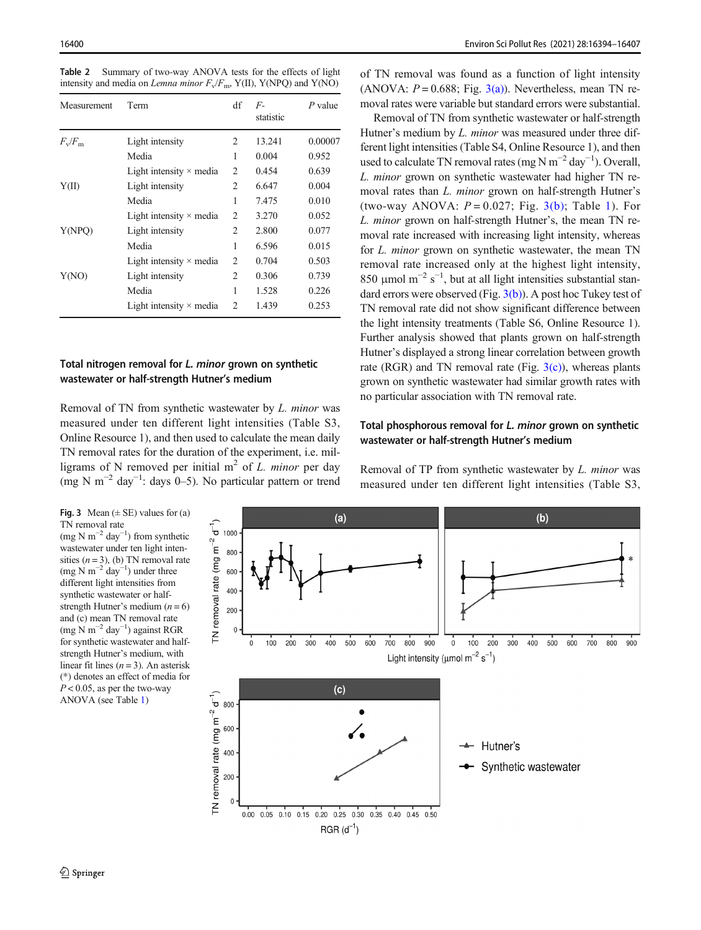<span id="page-6-0"></span>Table 2 Summary of two-way ANOVA tests for the effects of light intensity and media on Lemna minor  $F_v/F_m$ , Y(II), Y(NPQ) and Y(NO)

| Measurement           | Term                           | df             | $F_{-}$<br>statistic | $P$ value |
|-----------------------|--------------------------------|----------------|----------------------|-----------|
| $F_{\rm v}/F_{\rm m}$ | Light intensity                | 2              | 13.241               | 0.00007   |
|                       | Media                          | 1              | 0.004                | 0.952     |
|                       | Light intensity $\times$ media | 2              | 0.454                | 0.639     |
| Y(II)                 | Light intensity                | 2              | 6.647                | 0.004     |
|                       | Media                          | 1              | 7.475                | 0.010     |
|                       | Light intensity $\times$ media | $\overline{2}$ | 3.270                | 0.052     |
| Y(NPO)                | Light intensity                | 2              | 2.800                | 0.077     |
|                       | Media                          | 1              | 6.596                | 0.015     |
|                       | Light intensity $\times$ media | $\overline{2}$ | 0.704                | 0.503     |
| Y(NO)                 | Light intensity                | 2              | 0.306                | 0.739     |
|                       | Media                          | 1              | 1.528                | 0.226     |
|                       | Light intensity $\times$ media | $\mathfrak{D}$ | 1.439                | 0.253     |

## Total nitrogen removal for L. minor grown on synthetic wastewater or half-strength Hutner's medium

Removal of TN from synthetic wastewater by L. minor was measured under ten different light intensities (Table S3, Online Resource 1), and then used to calculate the mean daily TN removal rates for the duration of the experiment, i.e. milligrams of N removed per initial  $m<sup>2</sup>$  of L. minor per day (mg N m−<sup>2</sup> day−<sup>1</sup> : days 0–5). No particular pattern or trend

Fig. 3 Mean  $(\pm SE)$  values for (a) TN removal rate (mg N m<sup>-2</sup> day<sup>-1</sup>) from synthetic

wastewater under ten light intensities  $(n = 3)$ , (b) TN removal rate (mg N m<sup>-2</sup> day<sup>-1</sup>) under three different light intensities from synthetic wastewater or halfstrength Hutner's medium  $(n = 6)$ and (c) mean TN removal rate (mg N m−<sup>2</sup> day−<sup>1</sup> ) against RGR for synthetic wastewater and halfstrength Hutner's medium, with linear fit lines  $(n = 3)$ . An asterisk (\*) denotes an effect of media for  $P < 0.05$ , as per the two-way ANOVA (see Table [1\)](#page-4-0)

of TN removal was found as a function of light intensity (ANOVA:  $P = 0.688$ ; Fig. 3(a)). Nevertheless, mean TN removal rates were variable but standard errors were substantial.

Removal of TN from synthetic wastewater or half-strength Hutner's medium by *L. minor* was measured under three different light intensities (Table S4, Online Resource 1), and then used to calculate TN removal rates (mg N m<sup>-2</sup> day<sup>-1</sup>). Overall, L. minor grown on synthetic wastewater had higher TN removal rates than L. minor grown on half-strength Hutner's (two-way ANOVA:  $P = 0.027$ ; Fig. 3(b); Table [1\)](#page-4-0). For L. minor grown on half-strength Hutner's, the mean TN removal rate increased with increasing light intensity, whereas for L. minor grown on synthetic wastewater, the mean TN removal rate increased only at the highest light intensity, 850 µmol m<sup>-2</sup> s<sup>-1</sup>, but at all light intensities substantial standard errors were observed (Fig.  $3(b)$ ). A post hoc Tukey test of TN removal rate did not show significant difference between the light intensity treatments (Table S6, Online Resource 1). Further analysis showed that plants grown on half-strength Hutner's displayed a strong linear correlation between growth rate (RGR) and TN removal rate (Fig.  $3(c)$ ), whereas plants grown on synthetic wastewater had similar growth rates with no particular association with TN removal rate.

## Total phosphorous removal for L. minor grown on synthetic wastewater or half-strength Hutner's medium

Removal of TP from synthetic wastewater by L. minor was measured under ten different light intensities (Table S3,

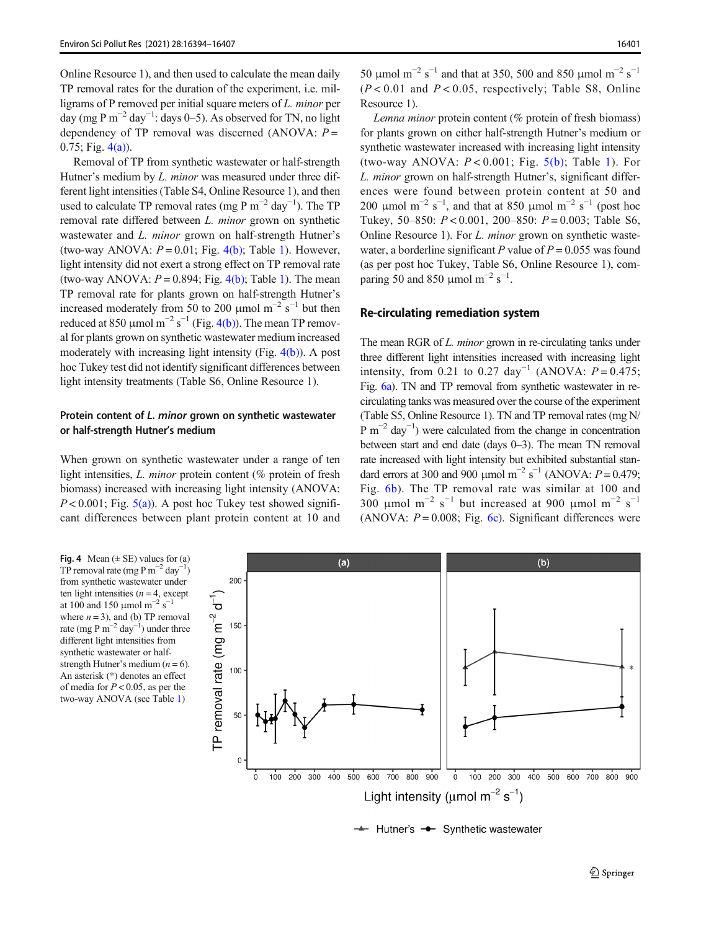<span id="page-7-0"></span>Online Resource 1), and then used to calculate the mean daily TP removal rates for the duration of the experiment, i.e. milligrams of P removed per initial square meters of L. minor per day (mg P m<sup>-2</sup> day<sup>-1</sup>: days 0–5). As observed for TN, no light dependency of TP removal was discerned (ANOVA:  $P =$  $0.75$ ; Fig.  $4(a)$ ).

Removal of TP from synthetic wastewater or half-strength Hutner's medium by *L. minor* was measured under three different light intensities (Table S4, Online Resource 1), and then used to calculate TP removal rates (mg P  $m^{-2}$  day<sup>-1</sup>). The TP removal rate differed between L. minor grown on synthetic wastewater and *L. minor* grown on half-strength Hutner's (two-way ANOVA:  $P = 0.01$  $P = 0.01$ ; Fig. 4(b); Table 1). However, light intensity did not exert a strong effect on TP removal rate (two-way ANOVA:  $P = 0.894$ ; Fig. 4(b); Table [1](#page-4-0)). The mean TP removal rate for plants grown on half-strength Hutner's increased moderately from 50 to 200 µmol  $m^{-2}$  s<sup>-1</sup> but then reduced at 850 µmol  $m^{-2}$  s<sup>-1</sup> (Fig. 4(b)). The mean TP removal for plants grown on synthetic wastewater medium increased moderately with increasing light intensity (Fig. 4(b)). A post hoc Tukey test did not identify significant differences between light intensity treatments (Table S6, Online Resource 1).

## Protein content of L. minor grown on synthetic wastewater or half-strength Hutner's medium

When grown on synthetic wastewater under a range of ten light intensities, *L. minor* protein content (% protein of fresh biomass) increased with increasing light intensity (ANOVA:  $P < 0.001$ ; Fig.  $5(a)$ ). A post hoc Tukey test showed significant differences between plant protein content at 10 and

50 μmol m<sup>-2</sup> s<sup>-1</sup> and that at 350, 500 and 850 μmol m<sup>-2</sup> s<sup>-1</sup>  $(P < 0.01$  and  $P < 0.05$ , respectively; Table S8, Online Resource 1).

Lemna minor protein content (% protein of fresh biomass) for plants grown on either half-strength Hutner's medium or synthetic wastewater increased with increasing light intensity (two-way ANOVA:  $P < 0.001$ ; Fig.  $5(b)$ ; Table [1\)](#page-4-0). For L. minor grown on half-strength Hutner's, significant differences were found between protein content at 50 and 200 µmol m<sup>-2</sup> s<sup>-1</sup>, and that at 850 µmol m<sup>-2</sup> s<sup>-1</sup> (post hoc Tukey, 50–850:  $P < 0.001$ , 200–850:  $P = 0.003$ ; Table S6, Online Resource 1). For L. minor grown on synthetic wastewater, a borderline significant P value of  $P = 0.055$  was found (as per post hoc Tukey, Table S6, Online Resource 1), comparing 50 and 850 µmol m<sup>-2</sup> s<sup>-1</sup>.

## Re-circulating remediation system

The mean RGR of L. *minor* grown in re-circulating tanks under three different light intensities increased with increasing light intensity, from 0.21 to 0.27 day<sup>-1</sup> (ANOVA:  $P = 0.475$ ; Fig. [6a\)](#page-9-0). TN and TP removal from synthetic wastewater in recirculating tanks was measured over the course of the experiment (Table S5, Online Resource 1). TN and TP removal rates (mg N/ P m<sup>-2</sup> day<sup>-1</sup>) were calculated from the change in concentration between start and end date (days 0–3). The mean TN removal rate increased with light intensity but exhibited substantial standard errors at 300 and 900 µmol m<sup>-2</sup> s<sup>-1</sup> (ANOVA:  $P = 0.479$ ; Fig. [6b\)](#page-9-0). The TP removal rate was similar at 100 and 300 μmol m<sup>-2</sup> s<sup>-1</sup> but increased at 900 μmol m<sup>-2</sup> s<sup>-1</sup> (ANOVA:  $P = 0.008$ ; Fig. [6c](#page-9-0)). Significant differences were

Fig. 4 Mean  $(\pm SE)$  values for (a) TP removal rate (mg P m<sup>-2</sup> day<sup>-1</sup>) from synthetic wastewater under ten light intensities  $(n = 4, \text{ except})$ at 100 and 150 µmol  $m^{-2}$  s<sup>-1</sup> where  $n = 3$ ), and (b) TP removal rate (mg P m<sup>-2</sup> day<sup>-1</sup>) under three different light intensities from synthetic wastewater or halfstrength Hutner's medium  $(n = 6)$ . An asterisk (\*) denotes an effect of media for  $P < 0.05$ , as per the two-way ANOVA (see Table [1](#page-4-0))



 $\rightarrow$  Hutner's  $\rightarrow$  Synthetic wastewater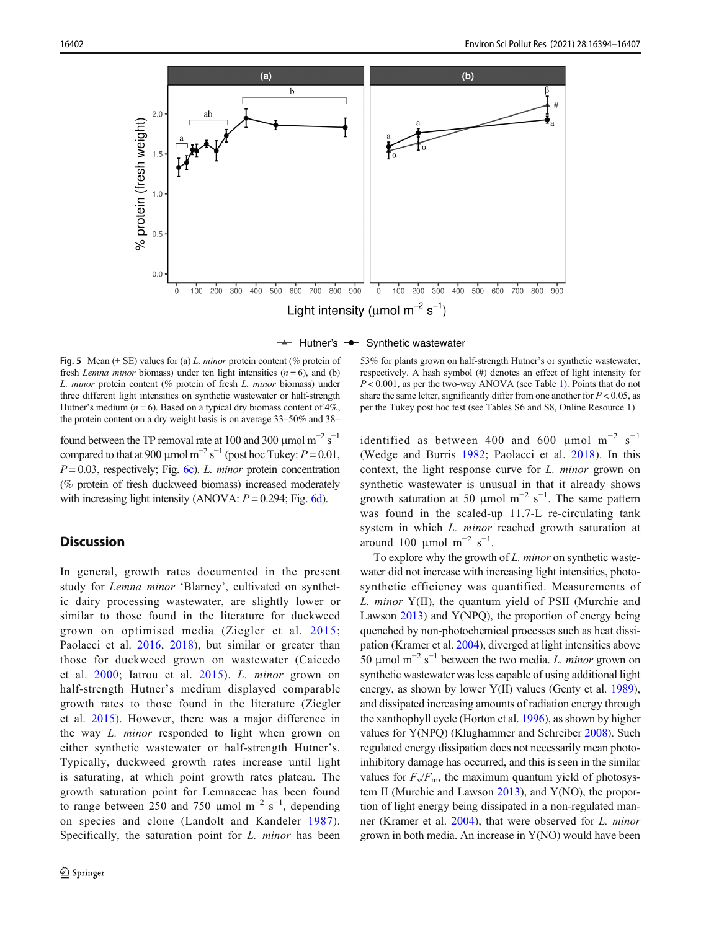<span id="page-8-0"></span>

 $\rightarrow$  Hutner's  $\rightarrow$  Synthetic wastewater

**Fig. 5** Mean ( $\pm$  SE) values for (a) L. minor protein content ( $\%$  protein of fresh *Lemna minor* biomass) under ten light intensities  $(n = 6)$ , and (b) L. minor protein content (% protein of fresh L. minor biomass) under three different light intensities on synthetic wastewater or half-strength Hutner's medium ( $n = 6$ ). Based on a typical dry biomass content of 4%, the protein content on a dry weight basis is on average 33–50% and 38–

found between the TP removal rate at 100 and 300 µmol  $m^{-2} s^{-1}$ compared to that at 900 µmol m<sup>-2</sup> s<sup>-1</sup> (post hoc Tukey:  $P = 0.01$ ,  $P = 0.03$ , respectively; Fig. [6c\)](#page-9-0). L. minor protein concentration (% protein of fresh duckweed biomass) increased moderately with increasing light intensity (ANOVA:  $P = 0.294$ ; Fig. [6d\)](#page-9-0).

## **Discussion**

In general, growth rates documented in the present study for Lemna minor 'Blarney', cultivated on synthetic dairy processing wastewater, are slightly lower or similar to those found in the literature for duckweed grown on optimised media (Ziegler et al. [2015](#page-13-0); Paolacci et al. [2016](#page-13-0), [2018\)](#page-13-0), but similar or greater than those for duckweed grown on wastewater (Caicedo et al. [2000](#page-11-0); Iatrou et al. [2015](#page-12-0)). L. minor grown on half-strength Hutner's medium displayed comparable growth rates to those found in the literature (Ziegler et al. [2015](#page-13-0)). However, there was a major difference in the way L. minor responded to light when grown on either synthetic wastewater or half-strength Hutner's. Typically, duckweed growth rates increase until light is saturating, at which point growth rates plateau. The growth saturation point for Lemnaceae has been found to range between 250 and 750 µmol  $m^{-2}$  s<sup>-1</sup>, depending on species and clone (Landolt and Kandeler [1987](#page-12-0)). Specifically, the saturation point for *L. minor* has been

53% for plants grown on half-strength Hutner's or synthetic wastewater, respectively. A hash symbol (#) denotes an effect of light intensity for  $P < 0.001$  $P < 0.001$ , as per the two-way ANOVA (see Table 1). Points that do not share the same letter, significantly differ from one another for  $P < 0.05$ , as per the Tukey post hoc test (see Tables S6 and S8, Online Resource 1)

identified as between 400 and 600 µmol  $m^{-2}$  s<sup>-1</sup> (Wedge and Burris [1982](#page-13-0); Paolacci et al. [2018\)](#page-13-0). In this context, the light response curve for L. minor grown on synthetic wastewater is unusual in that it already shows growth saturation at 50 µmol m<sup>-2</sup> s<sup>-1</sup>. The same pattern was found in the scaled-up 11.7-L re-circulating tank system in which *L. minor* reached growth saturation at around 100 μmol m<sup>-2</sup> s<sup>-1</sup>.

To explore why the growth of  $L$ . *minor* on synthetic wastewater did not increase with increasing light intensities, photosynthetic efficiency was quantified. Measurements of L. minor Y(II), the quantum yield of PSII (Murchie and Lawson [2013\)](#page-13-0) and Y(NPQ), the proportion of energy being quenched by non-photochemical processes such as heat dissipation (Kramer et al. [2004](#page-12-0)), diverged at light intensities above 50 µmol m<sup>-2</sup> s<sup>-1</sup> between the two media. *L. minor* grown on synthetic wastewater was less capable of using additional light energy, as shown by lower Y(II) values (Genty et al. [1989\)](#page-12-0), and dissipated increasing amounts of radiation energy through the xanthophyll cycle (Horton et al. [1996\)](#page-12-0), as shown by higher values for Y(NPQ) (Klughammer and Schreiber [2008](#page-12-0)). Such regulated energy dissipation does not necessarily mean photoinhibitory damage has occurred, and this is seen in the similar values for  $F_v/F_m$ , the maximum quantum yield of photosystem II (Murchie and Lawson [2013](#page-13-0)), and Y(NO), the proportion of light energy being dissipated in a non-regulated manner (Kramer et al. [2004](#page-12-0)), that were observed for L. minor grown in both media. An increase in Y(NO) would have been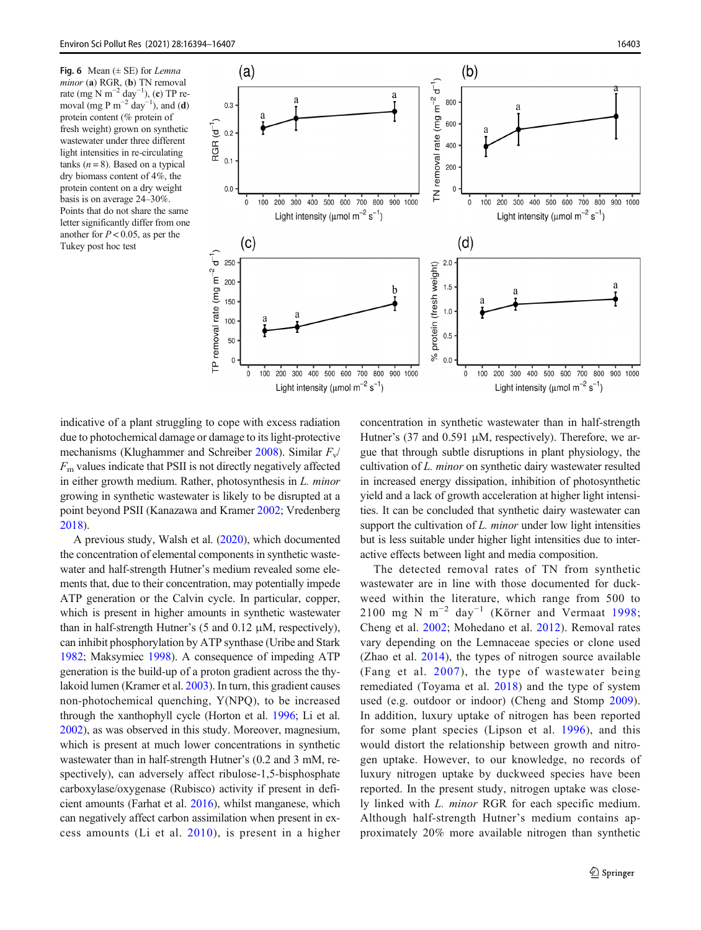<span id="page-9-0"></span>Fig. 6 Mean  $(\pm \text{ SE})$  for Lemna minor (a) RGR, (b) TN removal rate (mg N m<sup>-2</sup> day<sup>-1</sup>), (c) TP removal (mg P m<sup>-2</sup> day<sup>-1</sup>), and (**d**) protein content (% protein of fresh weight) grown on synthetic wastewater under three different light intensities in re-circulating tanks ( $n = 8$ ). Based on a typical dry biomass content of 4%, the protein content on a dry weight basis is on average 24–30%. Points that do not share the same letter significantly differ from one another for  $P < 0.05$ , as per the Tukey post hoc test



indicative of a plant struggling to cope with excess radiation due to photochemical damage or damage to its light-protective mechanisms (Klughammer and Schreiber [2008\)](#page-12-0). Similar  $F_v/$  $F<sub>m</sub>$  values indicate that PSII is not directly negatively affected in either growth medium. Rather, photosynthesis in L. minor growing in synthetic wastewater is likely to be disrupted at a point beyond PSII (Kanazawa and Kramer [2002](#page-12-0); Vredenberg [2018\)](#page-13-0).

A previous study, Walsh et al. [\(2020\)](#page-13-0), which documented the concentration of elemental components in synthetic wastewater and half-strength Hutner's medium revealed some elements that, due to their concentration, may potentially impede ATP generation or the Calvin cycle. In particular, copper, which is present in higher amounts in synthetic wastewater than in half-strength Hutner's (5 and 0.12 μM, respectively), can inhibit phosphorylation by ATP synthase (Uribe and Stark [1982;](#page-13-0) Maksymiec [1998](#page-12-0)). A consequence of impeding ATP generation is the build-up of a proton gradient across the thylakoid lumen (Kramer et al. [2003](#page-12-0)). In turn, this gradient causes non-photochemical quenching, Y(NPQ), to be increased through the xanthophyll cycle (Horton et al. [1996;](#page-12-0) Li et al. [2002\)](#page-12-0), as was observed in this study. Moreover, magnesium, which is present at much lower concentrations in synthetic wastewater than in half-strength Hutner's (0.2 and 3 mM, respectively), can adversely affect ribulose-1,5-bisphosphate carboxylase/oxygenase (Rubisco) activity if present in deficient amounts (Farhat et al. [2016](#page-12-0)), whilst manganese, which can negatively affect carbon assimilation when present in excess amounts (Li et al. [2010](#page-12-0)), is present in a higher concentration in synthetic wastewater than in half-strength Hutner's (37 and 0.591 μM, respectively). Therefore, we argue that through subtle disruptions in plant physiology, the cultivation of L. minor on synthetic dairy wastewater resulted in increased energy dissipation, inhibition of photosynthetic yield and a lack of growth acceleration at higher light intensities. It can be concluded that synthetic dairy wastewater can support the cultivation of  $L$ . minor under low light intensities but is less suitable under higher light intensities due to interactive effects between light and media composition.

The detected removal rates of TN from synthetic wastewater are in line with those documented for duckweed within the literature, which range from 500 to 2100 mg N m<sup>-2</sup> day<sup>-1</sup> (Körner and Vermaat [1998;](#page-12-0) Cheng et al. [2002;](#page-11-0) Mohedano et al. [2012](#page-12-0)). Removal rates vary depending on the Lemnaceae species or clone used (Zhao et al. [2014](#page-13-0)), the types of nitrogen source available (Fang et al. [2007](#page-12-0)), the type of wastewater being remediated (Toyama et al. [2018\)](#page-13-0) and the type of system used (e.g. outdoor or indoor) (Cheng and Stomp [2009](#page-12-0)). In addition, luxury uptake of nitrogen has been reported for some plant species (Lipson et al. [1996\)](#page-12-0), and this would distort the relationship between growth and nitrogen uptake. However, to our knowledge, no records of luxury nitrogen uptake by duckweed species have been reported. In the present study, nitrogen uptake was closely linked with L. minor RGR for each specific medium. Although half-strength Hutner's medium contains approximately 20% more available nitrogen than synthetic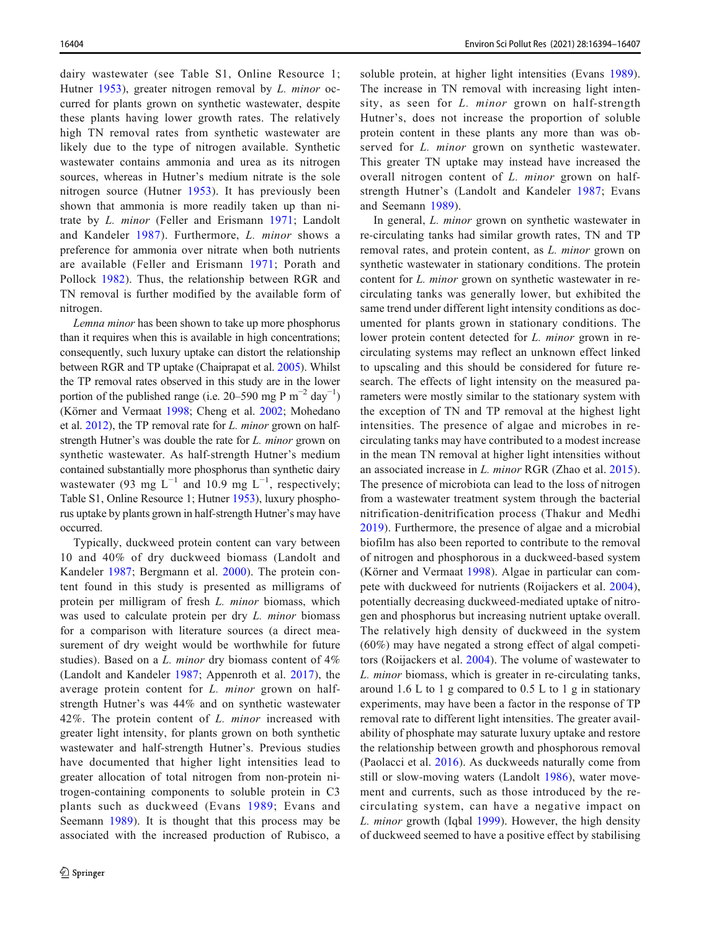dairy wastewater (see Table S1, Online Resource 1; Hutner [1953\)](#page-12-0), greater nitrogen removal by *L. minor* occurred for plants grown on synthetic wastewater, despite these plants having lower growth rates. The relatively high TN removal rates from synthetic wastewater are likely due to the type of nitrogen available. Synthetic wastewater contains ammonia and urea as its nitrogen sources, whereas in Hutner's medium nitrate is the sole nitrogen source (Hutner [1953\)](#page-12-0). It has previously been shown that ammonia is more readily taken up than nitrate by L. minor (Feller and Erismann [1971](#page-12-0); Landolt and Kandeler [1987\)](#page-12-0). Furthermore, L. minor shows a preference for ammonia over nitrate when both nutrients are available (Feller and Erismann [1971](#page-12-0); Porath and Pollock [1982](#page-13-0)). Thus, the relationship between RGR and TN removal is further modified by the available form of nitrogen.

Lemna minor has been shown to take up more phosphorus than it requires when this is available in high concentrations; consequently, such luxury uptake can distort the relationship between RGR and TP uptake (Chaiprapat et al. [2005](#page-11-0)). Whilst the TP removal rates observed in this study are in the lower portion of the published range (i.e. 20–590 mg P m<sup>-2</sup> day<sup>-1</sup>) (Körner and Vermaat [1998;](#page-12-0) Cheng et al. [2002](#page-11-0); Mohedano et al. [2012](#page-12-0)), the TP removal rate for L. minor grown on halfstrength Hutner's was double the rate for L. minor grown on synthetic wastewater. As half-strength Hutner's medium contained substantially more phosphorus than synthetic dairy wastewater (93 mg  $L^{-1}$  and 10.9 mg  $L^{-1}$ , respectively; Table S1, Online Resource 1; Hutner [1953\)](#page-12-0), luxury phosphorus uptake by plants grown in half-strength Hutner's may have occurred.

Typically, duckweed protein content can vary between 10 and 40% of dry duckweed biomass (Landolt and Kandeler [1987](#page-12-0); Bergmann et al. [2000\)](#page-11-0). The protein content found in this study is presented as milligrams of protein per milligram of fresh L. minor biomass, which was used to calculate protein per dry *L. minor* biomass for a comparison with literature sources (a direct measurement of dry weight would be worthwhile for future studies). Based on a L. minor dry biomass content of 4% (Landolt and Kandeler [1987;](#page-12-0) Appenroth et al. [2017](#page-11-0)), the average protein content for L. minor grown on halfstrength Hutner's was 44% and on synthetic wastewater 42%. The protein content of L. minor increased with greater light intensity, for plants grown on both synthetic wastewater and half-strength Hutner's. Previous studies have documented that higher light intensities lead to greater allocation of total nitrogen from non-protein nitrogen-containing components to soluble protein in C3 plants such as duckweed (Evans [1989;](#page-12-0) Evans and Seemann [1989](#page-12-0)). It is thought that this process may be associated with the increased production of Rubisco, a

soluble protein, at higher light intensities (Evans [1989](#page-12-0)). The increase in TN removal with increasing light intensity, as seen for *L. minor* grown on half-strength Hutner's, does not increase the proportion of soluble protein content in these plants any more than was observed for *L. minor* grown on synthetic wastewater. This greater TN uptake may instead have increased the overall nitrogen content of L. minor grown on halfstrength Hutner's (Landolt and Kandeler [1987](#page-12-0); Evans and Seemann [1989](#page-12-0)).

In general, *L. minor* grown on synthetic wastewater in re-circulating tanks had similar growth rates, TN and TP removal rates, and protein content, as L. minor grown on synthetic wastewater in stationary conditions. The protein content for L. minor grown on synthetic wastewater in recirculating tanks was generally lower, but exhibited the same trend under different light intensity conditions as documented for plants grown in stationary conditions. The lower protein content detected for L. minor grown in recirculating systems may reflect an unknown effect linked to upscaling and this should be considered for future research. The effects of light intensity on the measured parameters were mostly similar to the stationary system with the exception of TN and TP removal at the highest light intensities. The presence of algae and microbes in recirculating tanks may have contributed to a modest increase in the mean TN removal at higher light intensities without an associated increase in L. minor RGR (Zhao et al. [2015](#page-13-0)). The presence of microbiota can lead to the loss of nitrogen from a wastewater treatment system through the bacterial nitrification-denitrification process (Thakur and Medhi [2019](#page-13-0)). Furthermore, the presence of algae and a microbial biofilm has also been reported to contribute to the removal of nitrogen and phosphorous in a duckweed-based system (Körner and Vermaat [1998](#page-12-0)). Algae in particular can compete with duckweed for nutrients (Roijackers et al. [2004](#page-13-0)), potentially decreasing duckweed-mediated uptake of nitrogen and phosphorus but increasing nutrient uptake overall. The relatively high density of duckweed in the system (60%) may have negated a strong effect of algal competitors (Roijackers et al. [2004\)](#page-13-0). The volume of wastewater to L. minor biomass, which is greater in re-circulating tanks, around 1.6 L to 1 g compared to 0.5 L to 1 g in stationary experiments, may have been a factor in the response of TP removal rate to different light intensities. The greater availability of phosphate may saturate luxury uptake and restore the relationship between growth and phosphorous removal (Paolacci et al. [2016](#page-13-0)). As duckweeds naturally come from still or slow-moving waters (Landolt [1986\)](#page-12-0), water movement and currents, such as those introduced by the recirculating system, can have a negative impact on L. minor growth (Iqbal [1999](#page-12-0)). However, the high density of duckweed seemed to have a positive effect by stabilising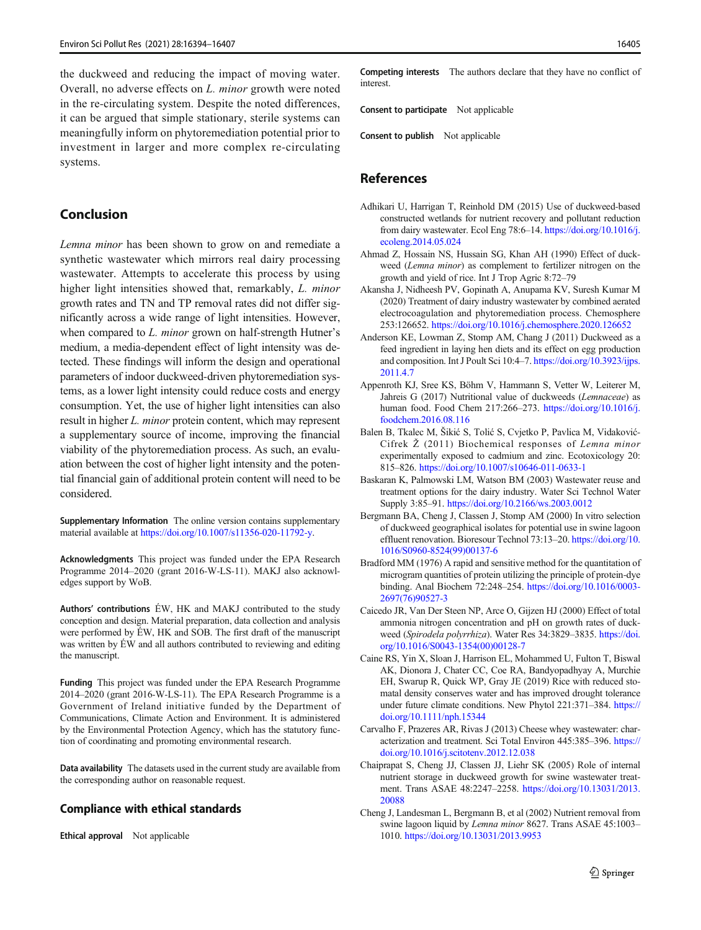<span id="page-11-0"></span>the duckweed and reducing the impact of moving water. Overall, no adverse effects on L. minor growth were noted in the re-circulating system. Despite the noted differences, it can be argued that simple stationary, sterile systems can meaningfully inform on phytoremediation potential prior to investment in larger and more complex re-circulating systems.

## Conclusion

Lemna minor has been shown to grow on and remediate a synthetic wastewater which mirrors real dairy processing wastewater. Attempts to accelerate this process by using higher light intensities showed that, remarkably, L. minor growth rates and TN and TP removal rates did not differ significantly across a wide range of light intensities. However, when compared to *L. minor* grown on half-strength Hutner's medium, a media-dependent effect of light intensity was detected. These findings will inform the design and operational parameters of indoor duckweed-driven phytoremediation systems, as a lower light intensity could reduce costs and energy consumption. Yet, the use of higher light intensities can also result in higher L. minor protein content, which may represent a supplementary source of income, improving the financial viability of the phytoremediation process. As such, an evaluation between the cost of higher light intensity and the potential financial gain of additional protein content will need to be considered.

Supplementary Information The online version contains supplementary material available at <https://doi.org/10.1007/s11356-020-11792-y>.

Acknowledgments This project was funded under the EPA Research Programme 2014–2020 (grant 2016-W-LS-11). MAKJ also acknowledges support by WoB.

Authors' contributions ÉW, HK and MAKJ contributed to the study conception and design. Material preparation, data collection and analysis were performed by ÉW, HK and SOB. The first draft of the manuscript was written by ÉW and all authors contributed to reviewing and editing the manuscript.

Funding This project was funded under the EPA Research Programme 2014–2020 (grant 2016-W-LS-11). The EPA Research Programme is a Government of Ireland initiative funded by the Department of Communications, Climate Action and Environment. It is administered by the Environmental Protection Agency, which has the statutory function of coordinating and promoting environmental research.

Data availability The datasets used in the current study are available from the corresponding author on reasonable request.

## Compliance with ethical standards

Ethical approval Not applicable

Competing interests The authors declare that they have no conflict of interest.

Consent to participate Not applicable

Consent to publish Not applicable

## References

- Adhikari U, Harrigan T, Reinhold DM (2015) Use of duckweed-based constructed wetlands for nutrient recovery and pollutant reduction from dairy wastewater. Ecol Eng 78:6–14. [https://doi.org/10.1016/j.](https://doi.org/10.1016/j.ecoleng.2014.05.024) [ecoleng.2014.05.024](https://doi.org/10.1016/j.ecoleng.2014.05.024)
- Ahmad Z, Hossain NS, Hussain SG, Khan AH (1990) Effect of duckweed (Lemna minor) as complement to fertilizer nitrogen on the growth and yield of rice. Int J Trop Agric 8:72–79
- Akansha J, Nidheesh PV, Gopinath A, Anupama KV, Suresh Kumar M (2020) Treatment of dairy industry wastewater by combined aerated electrocoagulation and phytoremediation process. Chemosphere 253:126652. <https://doi.org/10.1016/j.chemosphere.2020.126652>
- Anderson KE, Lowman Z, Stomp AM, Chang J (2011) Duckweed as a feed ingredient in laying hen diets and its effect on egg production and composition. Int J Poult Sci 10:4–7. [https://doi.org/10.3923/ijps.](https://doi.org/10.3923/ijps.2011.4.7) [2011.4.7](https://doi.org/10.3923/ijps.2011.4.7)
- Appenroth KJ, Sree KS, Böhm V, Hammann S, Vetter W, Leiterer M, Jahreis G (2017) Nutritional value of duckweeds (Lemnaceae) as human food. Food Chem 217:266–273. [https://doi.org/10.1016/j.](https://doi.org/10.1016/j.foodchem.2016.08.116) [foodchem.2016.08.116](https://doi.org/10.1016/j.foodchem.2016.08.116)
- Balen B, Tkalec M, Šikić S, Tolić S, Cvjetko P, Pavlica M, Vidaković-Cifrek Ž (2011) Biochemical responses of Lemna minor experimentally exposed to cadmium and zinc. Ecotoxicology 20: 815–826. <https://doi.org/10.1007/s10646-011-0633-1>
- Baskaran K, Palmowski LM, Watson BM (2003) Wastewater reuse and treatment options for the dairy industry. Water Sci Technol Water Supply 3:85–91. <https://doi.org/10.2166/ws.2003.0012>
- Bergmann BA, Cheng J, Classen J, Stomp AM (2000) In vitro selection of duckweed geographical isolates for potential use in swine lagoon effluent renovation. Bioresour Technol 73:13–20. [https://doi.org/10.](https://doi.org/10.1016/S0960-8524(99)00137-6) [1016/S0960-8524\(99\)00137-6](https://doi.org/10.1016/S0960-8524(99)00137-6)
- Bradford MM (1976) A rapid and sensitive method for the quantitation of microgram quantities of protein utilizing the principle of protein-dye binding. Anal Biochem 72:248–254. [https://doi.org/10.1016/0003-](https://doi.org/10.1016/0003-2697(76)90527-3) [2697\(76\)90527-3](https://doi.org/10.1016/0003-2697(76)90527-3)
- Caicedo JR, Van Der Steen NP, Arce O, Gijzen HJ (2000) Effect of total ammonia nitrogen concentration and pH on growth rates of duckweed (Spirodela polyrrhiza). Water Res 34:3829–3835. [https://doi.](https://doi.org/10.1016/S0043-1354(00)00128-7) [org/10.1016/S0043-1354\(00\)00128-7](https://doi.org/10.1016/S0043-1354(00)00128-7)
- Caine RS, Yin X, Sloan J, Harrison EL, Mohammed U, Fulton T, Biswal AK, Dionora J, Chater CC, Coe RA, Bandyopadhyay A, Murchie EH, Swarup R, Quick WP, Gray JE (2019) Rice with reduced stomatal density conserves water and has improved drought tolerance under future climate conditions. New Phytol 221:371–384. [https://](https://doi.org/10.1111/nph.15344) [doi.org/10.1111/nph.15344](https://doi.org/10.1111/nph.15344)
- Carvalho F, Prazeres AR, Rivas J (2013) Cheese whey wastewater: characterization and treatment. Sci Total Environ 445:385–396. [https://](https://doi.org/10.1016/j.scitotenv.2012.12.038) [doi.org/10.1016/j.scitotenv.2012.12.038](https://doi.org/10.1016/j.scitotenv.2012.12.038)
- Chaiprapat S, Cheng JJ, Classen JJ, Liehr SK (2005) Role of internal nutrient storage in duckweed growth for swine wastewater treatment. Trans ASAE 48:2247–2258. [https://doi.org/10.13031/2013.](https://doi.org/10.13031/2013.20088) [20088](https://doi.org/10.13031/2013.20088)
- Cheng J, Landesman L, Bergmann B, et al (2002) Nutrient removal from swine lagoon liquid by *Lemna minor* 8627. Trans ASAE 45:1003– 1010. <https://doi.org/10.13031/2013.9953>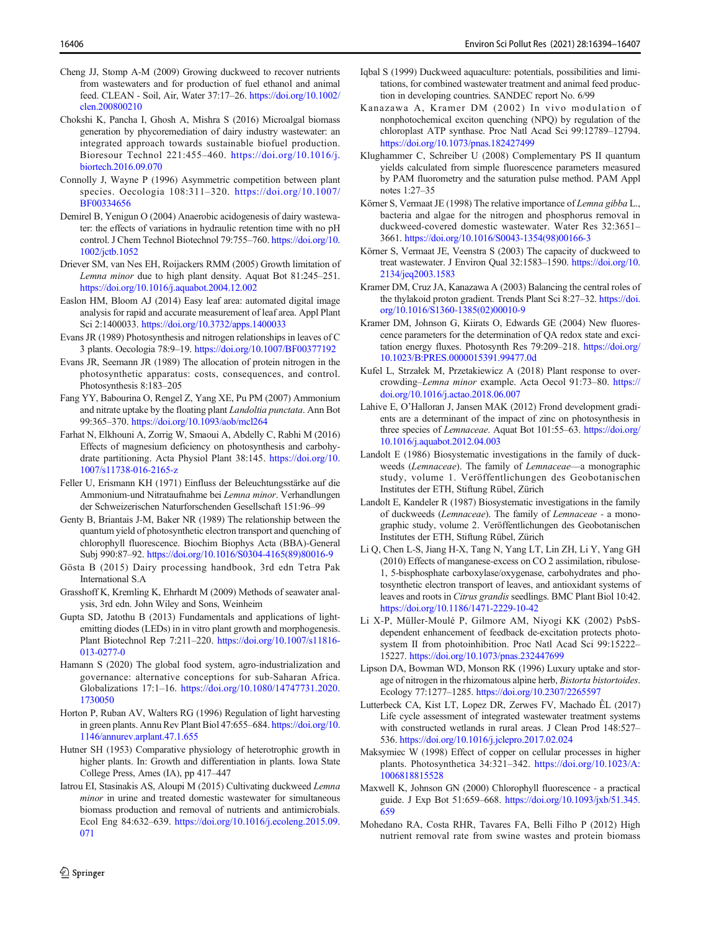- <span id="page-12-0"></span>Cheng JJ, Stomp A-M (2009) Growing duckweed to recover nutrients from wastewaters and for production of fuel ethanol and animal feed. CLEAN - Soil, Air, Water 37:17–26. [https://doi.org/10.1002/](https://doi.org/10.1002/clen.200800210) [clen.200800210](https://doi.org/10.1002/clen.200800210)
- Chokshi K, Pancha I, Ghosh A, Mishra S (2016) Microalgal biomass generation by phycoremediation of dairy industry wastewater: an integrated approach towards sustainable biofuel production. Bioresour Technol 221:455–460. [https://doi.org/10.1016/j.](https://doi.org/10.1016/j.biortech.2016.09.070) [biortech.2016.09.070](https://doi.org/10.1016/j.biortech.2016.09.070)
- Connolly J, Wayne P (1996) Asymmetric competition between plant species. Oecologia 108:311–320. [https://doi.org/10.1007/](https://doi.org/10.1007/BF00334656) [BF00334656](https://doi.org/10.1007/BF00334656)
- Demirel B, Yenigun O (2004) Anaerobic acidogenesis of dairy wastewater: the effects of variations in hydraulic retention time with no pH control. J Chem Technol Biotechnol 79:755–760. [https://doi.org/10.](https://doi.org/10.1002/jctb.1052) [1002/jctb.1052](https://doi.org/10.1002/jctb.1052)
- Driever SM, van Nes EH, Roijackers RMM (2005) Growth limitation of Lemna minor due to high plant density. Aquat Bot 81:245–251. <https://doi.org/10.1016/j.aquabot.2004.12.002>
- Easlon HM, Bloom AJ (2014) Easy leaf area: automated digital image analysis for rapid and accurate measurement of leaf area. Appl Plant Sci 2:1400033. <https://doi.org/10.3732/apps.1400033>
- Evans JR (1989) Photosynthesis and nitrogen relationships in leaves of C 3 plants. Oecologia 78:9–19. <https://doi.org/10.1007/BF00377192>
- Evans JR, Seemann JR (1989) The allocation of protein nitrogen in the photosynthetic apparatus: costs, consequences, and control. Photosynthesis 8:183–205
- Fang YY, Babourina O, Rengel Z, Yang XE, Pu PM (2007) Ammonium and nitrate uptake by the floating plant Landoltia punctata. Ann Bot 99:365–370. <https://doi.org/10.1093/aob/mcl264>
- Farhat N, Elkhouni A, Zorrig W, Smaoui A, Abdelly C, Rabhi M (2016) Effects of magnesium deficiency on photosynthesis and carbohydrate partitioning. Acta Physiol Plant 38:145. [https://doi.org/10.](https://doi.org/10.1007/s11738-016-2165-z) [1007/s11738-016-2165-z](https://doi.org/10.1007/s11738-016-2165-z)
- Feller U, Erismann KH (1971) Einfluss der Beleuchtungsstärke auf die Ammonium-und Nitrataufnahme bei Lemna minor. Verhandlungen der Schweizerischen Naturforschenden Gesellschaft 151:96–99
- Genty B, Briantais J-M, Baker NR (1989) The relationship between the quantum yield of photosynthetic electron transport and quenching of chlorophyll fluorescence. Biochim Biophys Acta (BBA)-General Subj 990:87–92. [https://doi.org/10.1016/S0304-4165\(89\)80016-9](https://doi.org/10.1016/S0304-4165(89)80016-9)
- Gösta B (2015) Dairy processing handbook, 3rd edn Tetra Pak International S.A
- Grasshoff K, Kremling K, Ehrhardt M (2009) Methods of seawater analysis, 3rd edn. John Wiley and Sons, Weinheim
- Gupta SD, Jatothu B (2013) Fundamentals and applications of lightemitting diodes (LEDs) in in vitro plant growth and morphogenesis. Plant Biotechnol Rep 7:211–220. [https://doi.org/10.1007/s11816-](https://doi.org/10.1007/s11816-013-0277-0) [013-0277-0](https://doi.org/10.1007/s11816-013-0277-0)
- Hamann S (2020) The global food system, agro-industrialization and governance: alternative conceptions for sub-Saharan Africa. Globalizations 17:1–16. [https://doi.org/10.1080/14747731.2020.](https://doi.org/10.1080/14747731.2020.1730050) [1730050](https://doi.org/10.1080/14747731.2020.1730050)
- Horton P, Ruban AV, Walters RG (1996) Regulation of light harvesting in green plants. Annu Rev Plant Biol 47:655–684. [https://doi.org/10.](https://doi.org/10.1146/annurev.arplant.47.1.655) [1146/annurev.arplant.47.1.655](https://doi.org/10.1146/annurev.arplant.47.1.655)
- Hutner SH (1953) Comparative physiology of heterotrophic growth in higher plants. In: Growth and differentiation in plants. Iowa State College Press, Ames (IA), pp 417–447
- Iatrou EI, Stasinakis AS, Aloupi M (2015) Cultivating duckweed Lemna minor in urine and treated domestic wastewater for simultaneous biomass production and removal of nutrients and antimicrobials. Ecol Eng 84:632–639. [https://doi.org/10.1016/j.ecoleng.2015.09.](https://doi.org/10.1016/j.ecoleng.2015.09.071) [071](https://doi.org/10.1016/j.ecoleng.2015.09.071)
- Iqbal S (1999) Duckweed aquaculture: potentials, possibilities and limitations, for combined wastewater treatment and animal feed production in developing countries. SANDEC report No. 6/99
	- Kanazawa A, Kramer DM (2002) In vivo modulation of nonphotochemical exciton quenching (NPQ) by regulation of the chloroplast ATP synthase. Proc Natl Acad Sci 99:12789–12794. <https://doi.org/10.1073/pnas.182427499>
	- Klughammer C, Schreiber U (2008) Complementary PS II quantum yields calculated from simple fluorescence parameters measured by PAM fluorometry and the saturation pulse method. PAM Appl notes 1:27–35
	- Körner S, Vermaat JE (1998) The relative importance of Lemna gibba L., bacteria and algae for the nitrogen and phosphorus removal in duckweed-covered domestic wastewater. Water Res 32:3651– 3661. [https://doi.org/10.1016/S0043-1354\(98\)00166-3](https://doi.org/10.1016/S0043-1354(98)00166-3)
	- Körner S, Vermaat JE, Veenstra S (2003) The capacity of duckweed to treat wastewater. J Environ Qual 32:1583–1590. [https://doi.org/10.](https://doi.org/10.2134/jeq2003.1583) [2134/jeq2003.1583](https://doi.org/10.2134/jeq2003.1583)
	- Kramer DM, Cruz JA, Kanazawa A (2003) Balancing the central roles of the thylakoid proton gradient. Trends Plant Sci 8:27–32. [https://doi.](https://doi.org/10.1016/S1360-1385(02)00010-9) [org/10.1016/S1360-1385\(02\)00010-9](https://doi.org/10.1016/S1360-1385(02)00010-9)
	- Kramer DM, Johnson G, Kiirats O, Edwards GE (2004) New fluorescence parameters for the determination of QA redox state and excitation energy fluxes. Photosynth Res 79:209–218. [https://doi.org/](https://doi.org/10.1023/B:PRES.0000015391.99477.0d) [10.1023/B:PRES.0000015391.99477.0d](https://doi.org/10.1023/B:PRES.0000015391.99477.0d)
	- Kufel L, Strzałek M, Przetakiewicz A (2018) Plant response to overcrowding–Lemna minor example. Acta Oecol 91:73–80. [https://](https://doi.org/10.1016/j.actao.2018.06.007) [doi.org/10.1016/j.actao.2018.06.007](https://doi.org/10.1016/j.actao.2018.06.007)
	- Lahive E, O'Halloran J, Jansen MAK (2012) Frond development gradients are a determinant of the impact of zinc on photosynthesis in three species of Lemnaceae. Aquat Bot 101:55-63. [https://doi.org/](https://doi.org/10.1016/j.aquabot.2012.04.003) [10.1016/j.aquabot.2012.04.003](https://doi.org/10.1016/j.aquabot.2012.04.003)
	- Landolt E (1986) Biosystematic investigations in the family of duckweeds (Lemnaceae). The family of Lemnaceae—a monographic study, volume 1. Veröffentlichungen des Geobotanischen Institutes der ETH, Stiftung Rübel, Zürich
	- Landolt E, Kandeler R (1987) Biosystematic investigations in the family of duckweeds (Lemnaceae). The family of Lemnaceae - a monographic study, volume 2. Veröffentlichungen des Geobotanischen Institutes der ETH, Stiftung Rübel, Zürich
	- Li Q, Chen L-S, Jiang H-X, Tang N, Yang LT, Lin ZH, Li Y, Yang GH (2010) Effects of manganese-excess on CO 2 assimilation, ribulose-1, 5-bisphosphate carboxylase/oxygenase, carbohydrates and photosynthetic electron transport of leaves, and antioxidant systems of leaves and roots in Citrus grandis seedlings. BMC Plant Biol 10:42. <https://doi.org/10.1186/1471-2229-10-42>
	- Li X-P, Müller-Moulé P, Gilmore AM, Niyogi KK (2002) PsbSdependent enhancement of feedback de-excitation protects photosystem II from photoinhibition. Proc Natl Acad Sci 99:15222– 15227. <https://doi.org/10.1073/pnas.232447699>
	- Lipson DA, Bowman WD, Monson RK (1996) Luxury uptake and storage of nitrogen in the rhizomatous alpine herb, Bistorta bistortoides. Ecology 77:1277–1285. <https://doi.org/10.2307/2265597>
	- Lutterbeck CA, Kist LT, Lopez DR, Zerwes FV, Machado ÊL (2017) Life cycle assessment of integrated wastewater treatment systems with constructed wetlands in rural areas. J Clean Prod 148:527– 536. <https://doi.org/10.1016/j.jclepro.2017.02.024>
	- Maksymiec W (1998) Effect of copper on cellular processes in higher plants. Photosynthetica 34:321–342. [https://doi.org/10.1023/A:](https://doi.org/10.1023/A:1006818815528) [1006818815528](https://doi.org/10.1023/A:1006818815528)
	- Maxwell K, Johnson GN (2000) Chlorophyll fluorescence a practical guide. J Exp Bot 51:659–668. [https://doi.org/10.1093/jxb/51.345.](https://doi.org/10.1093/jxb/51.345.659) [659](https://doi.org/10.1093/jxb/51.345.659)
	- Mohedano RA, Costa RHR, Tavares FA, Belli Filho P (2012) High nutrient removal rate from swine wastes and protein biomass